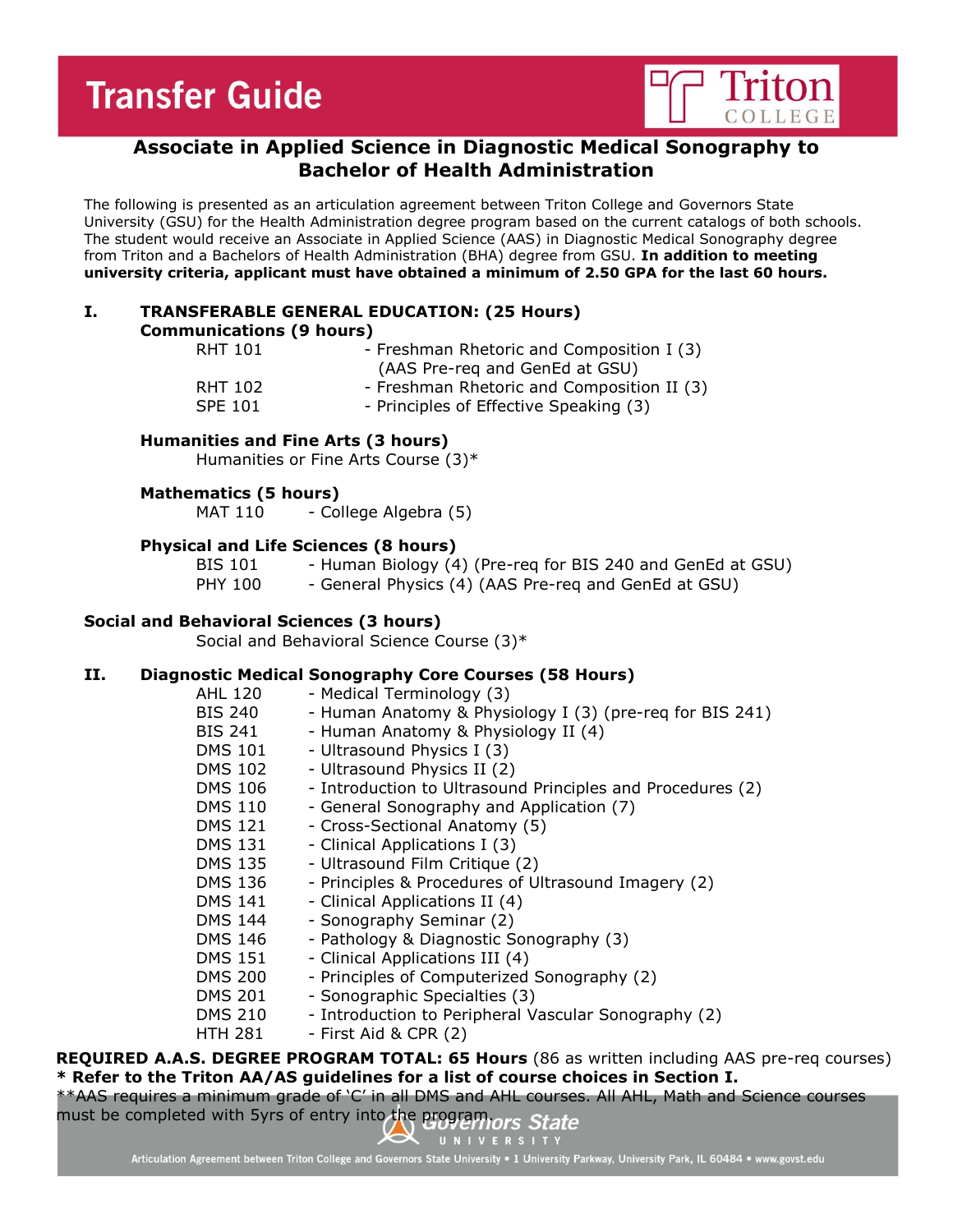# **Transfer Guide**



# **Associate in Applied Science in Diagnostic Medical Sonography to Bachelor of Health Administration**

The following is presented as an articulation agreement between Triton College and Governors State University (GSU) for the Health Administration degree program based on the current catalogs of both schools. The student would receive an Associate in Applied Science (AAS) in Diagnostic Medical Sonography degree from Triton and a Bachelors of Health Administration (BHA) degree from GSU. **In addition to meeting university criteria, applicant must have obtained a minimum of 2.50 GPA for the last 60 hours.**

| Ι. | <b>TRANSFERABLE GENERAL EDUCATION: (25 Hours)</b> |
|----|---------------------------------------------------|
|    | <b>Communications (9 hours)</b>                   |

| <b>RHT 101</b> | - Freshman Rhetoric and Composition I (3)<br>(AAS Pre-req and GenEd at GSU) |
|----------------|-----------------------------------------------------------------------------|
| RHT 102        | - Freshman Rhetoric and Composition II (3)                                  |
| <b>SPE 101</b> | - Principles of Effective Speaking (3)                                      |

#### **Humanities and Fine Arts (3 hours)**

Humanities or Fine Arts Course (3)\*

### **Mathematics (5 hours)**

MAT 110 - College Algebra (5)

### **Physical and Life Sciences (8 hours)**

BIS 101 - Human Biology (4) (Pre-req for BIS 240 and GenEd at GSU) PHY 100 - General Physics (4) (AAS Pre-req and GenEd at GSU)

#### **Social and Behavioral Sciences (3 hours)**

Social and Behavioral Science Course (3)\*

### **II. Diagnostic Medical Sonography Core Courses (58 Hours)**

| AHL 120        | - Medical Terminology (3)                                  |
|----------------|------------------------------------------------------------|
| BIS 240        | - Human Anatomy & Physiology I (3) (pre-req for BIS 241)   |
| BIS 241        | - Human Anatomy & Physiology II (4)                        |
| <b>DMS 101</b> | - Ultrasound Physics I (3)                                 |
| <b>DMS 102</b> | - Ultrasound Physics II (2)                                |
| <b>DMS 106</b> | - Introduction to Ultrasound Principles and Procedures (2) |
| <b>DMS 110</b> | - General Sonography and Application (7)                   |
| <b>DMS 121</b> | - Cross-Sectional Anatomy (5)                              |
| <b>DMS 131</b> | - Clinical Applications I (3)                              |
| <b>DMS 135</b> | - Ultrasound Film Critique (2)                             |
| DMS 136        | - Principles & Procedures of Ultrasound Imagery (2)        |
| <b>DMS 141</b> | - Clinical Applications II (4)                             |
| <b>DMS 144</b> | - Sonography Seminar (2)                                   |
| <b>DMS 146</b> | - Pathology & Diagnostic Sonography (3)                    |
| <b>DMS 151</b> | - Clinical Applications III (4)                            |
| <b>DMS 200</b> | - Principles of Computerized Sonography (2)                |
| <b>DMS 201</b> | - Sonographic Specialties (3)                              |
| <b>DMS 210</b> | - Introduction to Peripheral Vascular Sonography (2)       |
| <b>HTH 281</b> | - First Aid & CPR (2)                                      |

**REQUIRED A.A.S. DEGREE PROGRAM TOTAL: 65 Hours** (86 as written including AAS pre-req courses) **\* Refer to the Triton AA/AS guidelines for a list of course choices in Section I.** \*\*AAS requires a minimum grade of 'C' in all DMS and AHL courses. All AHL, Math and Science courses

must be completed with 5yrs of entry into the programors State

Articulation Agreement between Triton College and Governors State University . 1 University Parkway, University Park, IL 60484 . www.govst.edu